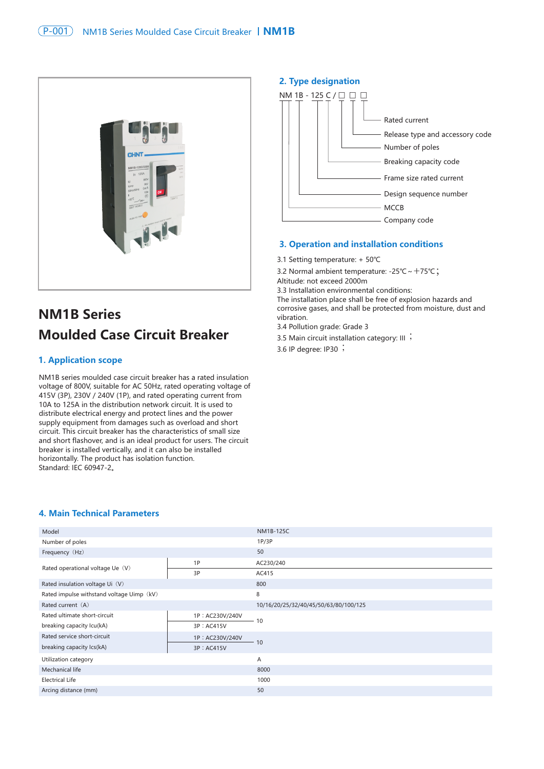

# **NM1B Series Moulded Case Circuit Breaker**

## **1. Application scope**

NM1B series moulded case circuit breaker has a rated insulation voltage of 800V, suitable for AC 50Hz, rated operating voltage of 415V (3P), 230V / 240V (1P), and rated operating current from 10A to 125A in the distribution network circuit. It is used to distribute electrical energy and protect lines and the power supply equipment from damages such as overload and short circuit. This circuit breaker has the characteristics of small size and short flashover, and is an ideal product for users. The circuit breaker is installed vertically, and it can also be installed horizontally. The product has isolation function. Standard: IEC 60947-2。

### **2. Type designation**



## **3. Operation and installation conditions**

- 3.1 Setting temperature: + 50℃
- 3.2 Normal ambient temperature: -25℃~+75℃;
- Altitude: not exceed 2000m
- 3.3 Installation environmental conditions:

The installation place shall be free of explosion hazards and corrosive gases, and shall be protected from moisture, dust and vibration.

- 3.4 Pollution grade: Grade 3
- 3.5 Main circuit installation category: <sup>Ⅲ</sup>;

3.6 IP degree: IP30  $\cdot$ 

#### **4. Main Technical Parameters**

|                 | <b>NM1B-125C</b>                      |
|-----------------|---------------------------------------|
|                 | 1P/3P                                 |
|                 | 50                                    |
| 1P              | AC230/240                             |
| 3P              | AC415                                 |
|                 | 800                                   |
|                 | 8                                     |
|                 | 10/16/20/25/32/40/45/50/63/80/100/125 |
| 1P: AC230V/240V |                                       |
| 3P : AC415V     | 10                                    |
| 1P: AC230V/240V | 10                                    |
| 3P : AC415V     |                                       |
|                 | A                                     |
|                 | 8000                                  |
|                 | 1000                                  |
|                 | 50                                    |
|                 |                                       |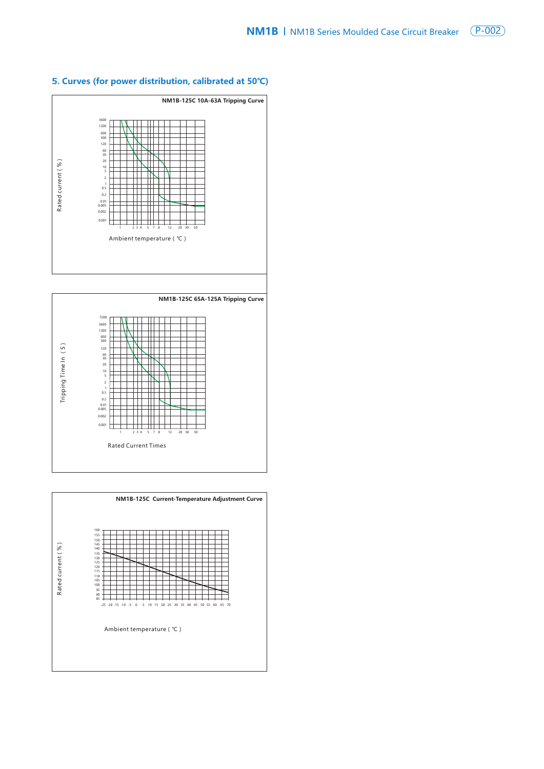

# **5. Curves (for power distribution, calibrated at 50℃)**



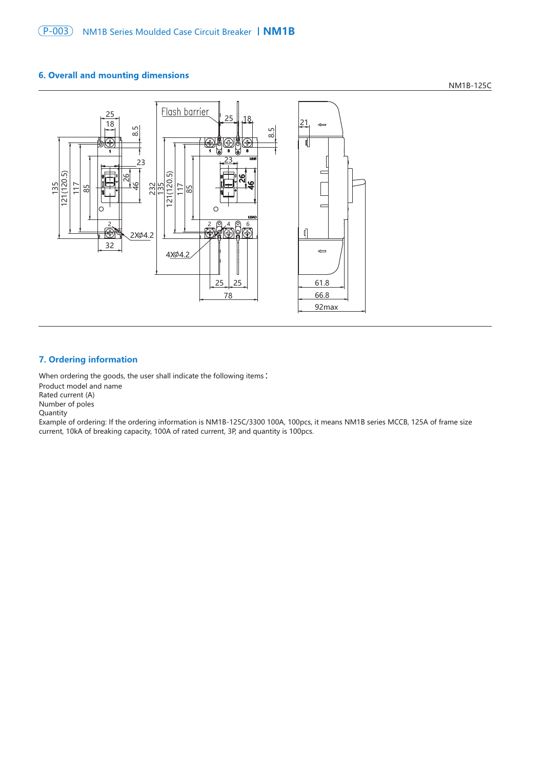## **6. Overall and mounting dimensions**





# **7. Ordering information**

When ordering the goods, the user shall indicate the following items:

Product model and name Rated current (A) Number of poles Quantity Example of ordering: If the ordering information is NM1B-125C/3300 100A, 100pcs, it means NM1B series MCCB, 125A of frame size current, 10kA of breaking capacity, 100A of rated current, 3P, and quantity is 100pcs.